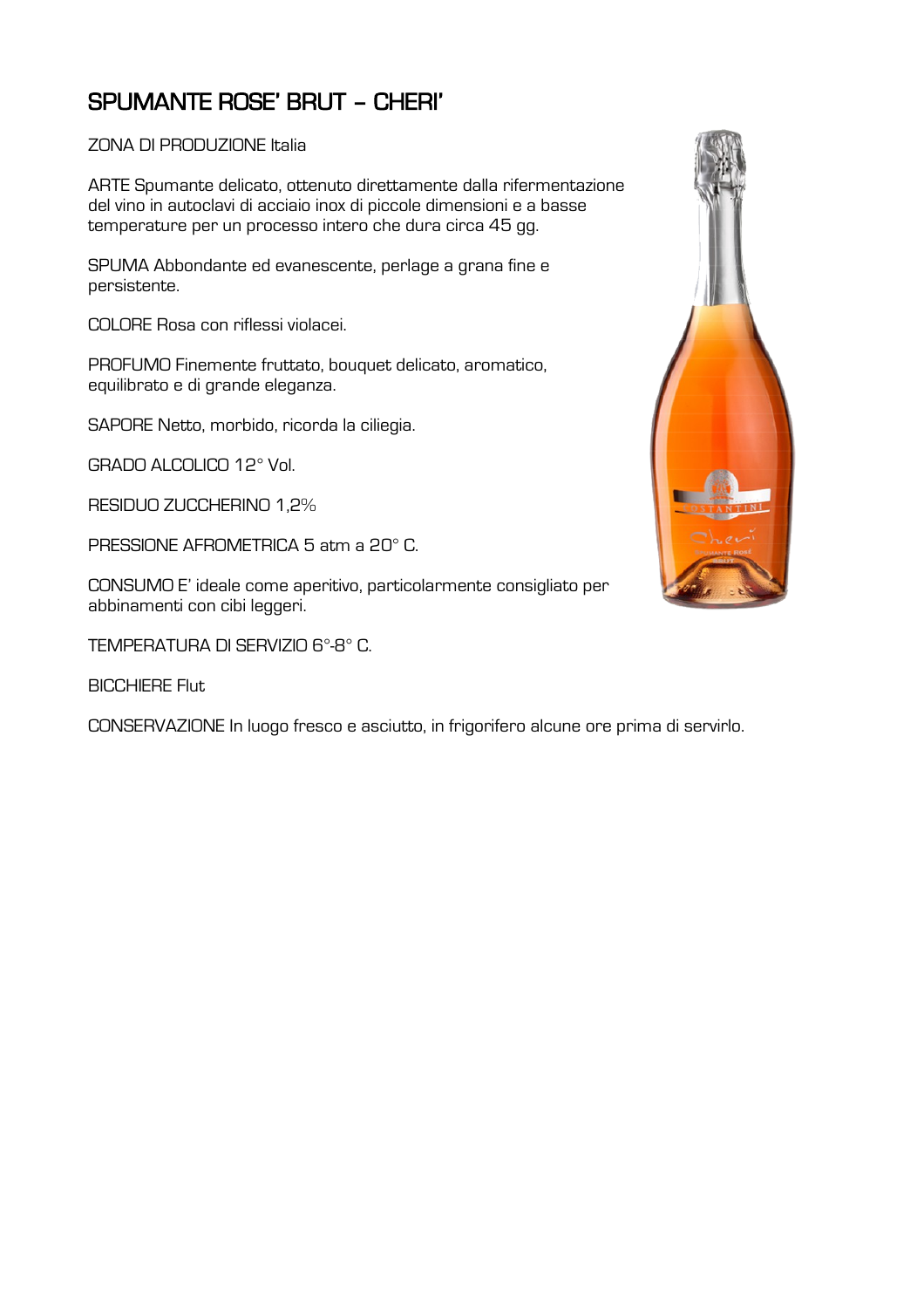## SPUMANTE ROSE' BRUT – CHERI'

## ZONA DI PRODUZIONE Italia

ARTE Spumante delicato, ottenuto direttamente dalla rifermentazione del vino in autoclavi di acciaio inox di piccole dimensioni e a basse temperature per un processo intero che dura circa 45 gg.

SPUMA Abbondante ed evanescente, perlage a grana fine e persistente.

COLORE Rosa con riflessi violacei.

PROFUMO Finemente fruttato, bouquet delicato, aromatico, equilibrato e di grande eleganza.

SAPORE Netto, morbido, ricorda la ciliegia.

GRADO ALCOLICO 12° Vol.

RESIDUO ZUCCHERINO 1,2%

PRESSIONE AFROMETRICA 5 atm a 20° C.

CONSUMO E' ideale come aperitivo, particolarmente consigliato per abbinamenti con cibi leggeri.

TEMPERATURA DI SERVIZIO 6°-8° C.

BICCHIERE Flut

CONSERVAZIONE In luogo fresco e asciutto, in frigorifero alcune ore prima di servirlo.